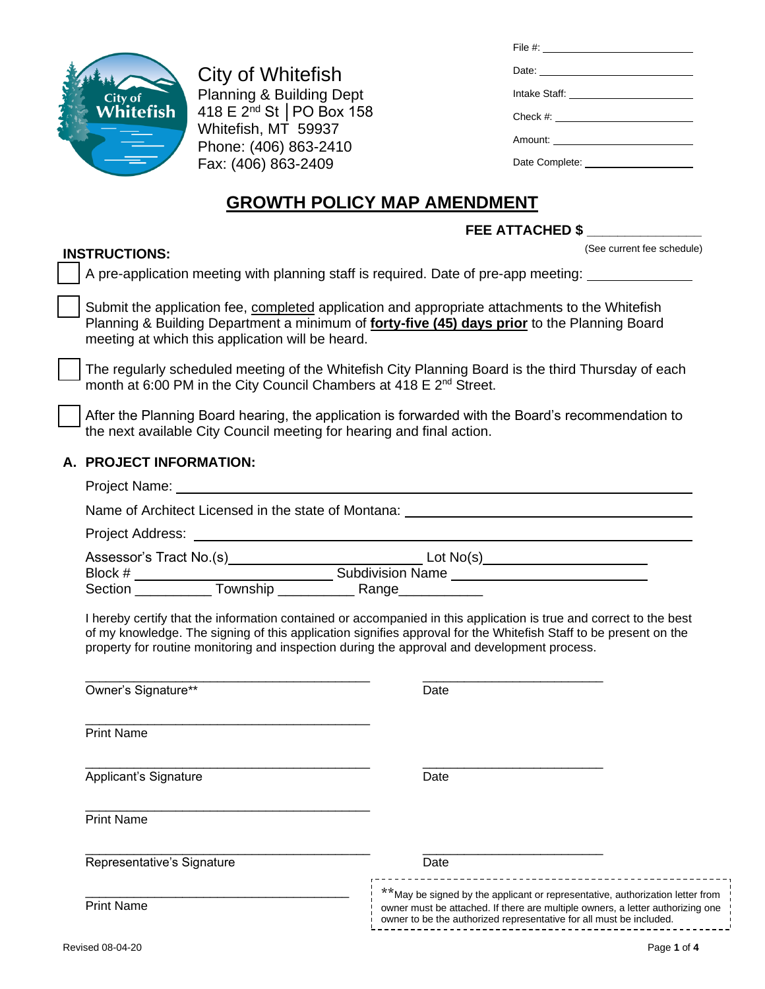| (See current fee schedule) |
|----------------------------|

| City of<br>Whitefish |
|----------------------|
|                      |
|                      |

**INSTRUCTIONS:**

City of Whitefish Planning & Building Dept 418 E 2nd St │PO Box 158 Whitefish, MT 59937 Phone: (406) 863-2410 Fax: (406) 863-2409

| File #: $\_$                        |
|-------------------------------------|
|                                     |
|                                     |
|                                     |
| Amount: ___________________________ |
| Date Complete: <b>Example</b> 2014  |
|                                     |

# **GROWTH POLICY MAP AMENDMENT**

## **FEE ATTACHED \$ \_\_\_\_\_\_\_\_\_\_\_\_\_\_\_**

❑ A pre-application meeting with planning staff is required. Date of pre-app meeting:

Submit the application fee, completed application and appropriate attachments to the Whitefish Planning & Building Department a minimum of **forty-five (45) days prior** to the Planning Board meeting at which this application will be heard.

The regularly scheduled meeting of the Whitefish City Planning Board is the third Thursday of each month at 6:00 PM in the City Council Chambers at 418 E 2<sup>nd</sup> Street.

After the Planning Board hearing, the application is forwarded with the Board's recommendation to the next available City Council meeting for hearing and final action.

## **A. PROJECT INFORMATION:**

| Name of Architect Licensed in the state of Montana: _____________________________                                                                                                                                                                                                                                                     |      |  |  |  |  |
|---------------------------------------------------------------------------------------------------------------------------------------------------------------------------------------------------------------------------------------------------------------------------------------------------------------------------------------|------|--|--|--|--|
|                                                                                                                                                                                                                                                                                                                                       |      |  |  |  |  |
|                                                                                                                                                                                                                                                                                                                                       |      |  |  |  |  |
|                                                                                                                                                                                                                                                                                                                                       |      |  |  |  |  |
| I hereby certify that the information contained or accompanied in this application is true and correct to the best<br>of my knowledge. The signing of this application signifies approval for the Whitefish Staff to be present on the<br>property for routine monitoring and inspection during the approval and development process. |      |  |  |  |  |
| Owner's Signature**                                                                                                                                                                                                                                                                                                                   | Date |  |  |  |  |
| <b>Print Name</b>                                                                                                                                                                                                                                                                                                                     |      |  |  |  |  |
| Applicant's Signature                                                                                                                                                                                                                                                                                                                 | Date |  |  |  |  |
| <b>Print Name</b>                                                                                                                                                                                                                                                                                                                     |      |  |  |  |  |
| Representative's Signature                                                                                                                                                                                                                                                                                                            | Date |  |  |  |  |

Print Name

\_\_\_\_\_\_\_\_\_\_\_\_\_\_\_\_\_\_\_\_\_\_\_\_\_\_\_\_\_\_\_\_\_\_\_\_\_\_

\*\*May be signed by the applicant or representative, authorization letter from owner must be attached. If there are multiple owners, a letter authorizing one

owner to be the authorized representative for all must be included.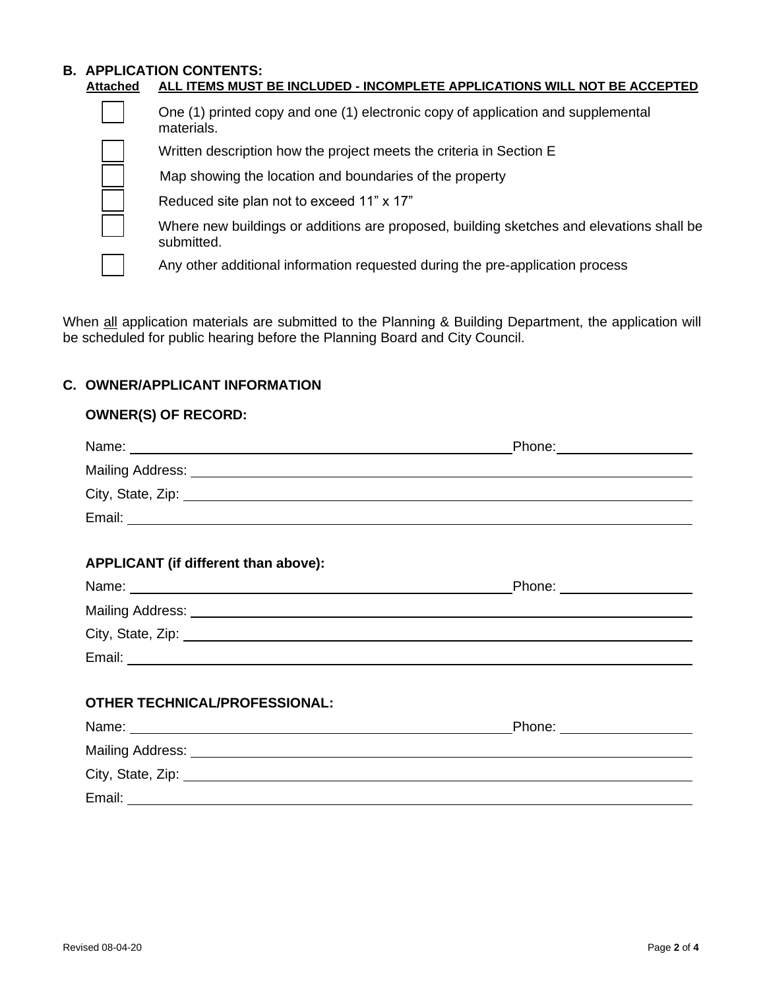#### **B. APPLICATION CONTENTS: Attached ALL ITEMS MUST BE INCLUDED - INCOMPLETE APPLICATIONS WILL NOT BE ACCEPTED**

❑ One (1) printed copy and one (1) electronic copy of application and supplemental materials. Written description how the project meets the criteria in Section E Map showing the location and boundaries of the property Reduced site plan not to exceed 11" x 17" ❑ Where new buildings or additions are proposed, building sketches and elevations shall be submitted. Any other additional information requested during the pre-application process

When all application materials are submitted to the Planning & Building Department, the application will be scheduled for public hearing before the Planning Board and City Council.

## **C. OWNER/APPLICANT INFORMATION**

**OWNER(S) OF RECORD:**

| UWNER(3) UF REUURD:                                                                                                                                                                                                           |                              |
|-------------------------------------------------------------------------------------------------------------------------------------------------------------------------------------------------------------------------------|------------------------------|
|                                                                                                                                                                                                                               | Phone: _____________________ |
|                                                                                                                                                                                                                               |                              |
| City, State, Zip: 2008. Experience of the State of Table 1999. The State of Table 2009. The State of Table 200                                                                                                                |                              |
|                                                                                                                                                                                                                               |                              |
| APPLICANT (if different than above):                                                                                                                                                                                          |                              |
| Name: Name: Name: Name: Name: Name: Name: Name: Name: Name: Name: Name: Name: Name: Name: Name: Name: Name: Name: Name: Name: Name: Name: Name: Name: Name: Name: Name: Name: Name: Name: Name: Name: Name: Name: Name: Name: | Phone: __________________    |
|                                                                                                                                                                                                                               |                              |
|                                                                                                                                                                                                                               |                              |
|                                                                                                                                                                                                                               |                              |
| <b>OTHER TECHNICAL/PROFESSIONAL:</b>                                                                                                                                                                                          |                              |
|                                                                                                                                                                                                                               | Phone: __________________    |
|                                                                                                                                                                                                                               |                              |
|                                                                                                                                                                                                                               |                              |
|                                                                                                                                                                                                                               |                              |
|                                                                                                                                                                                                                               |                              |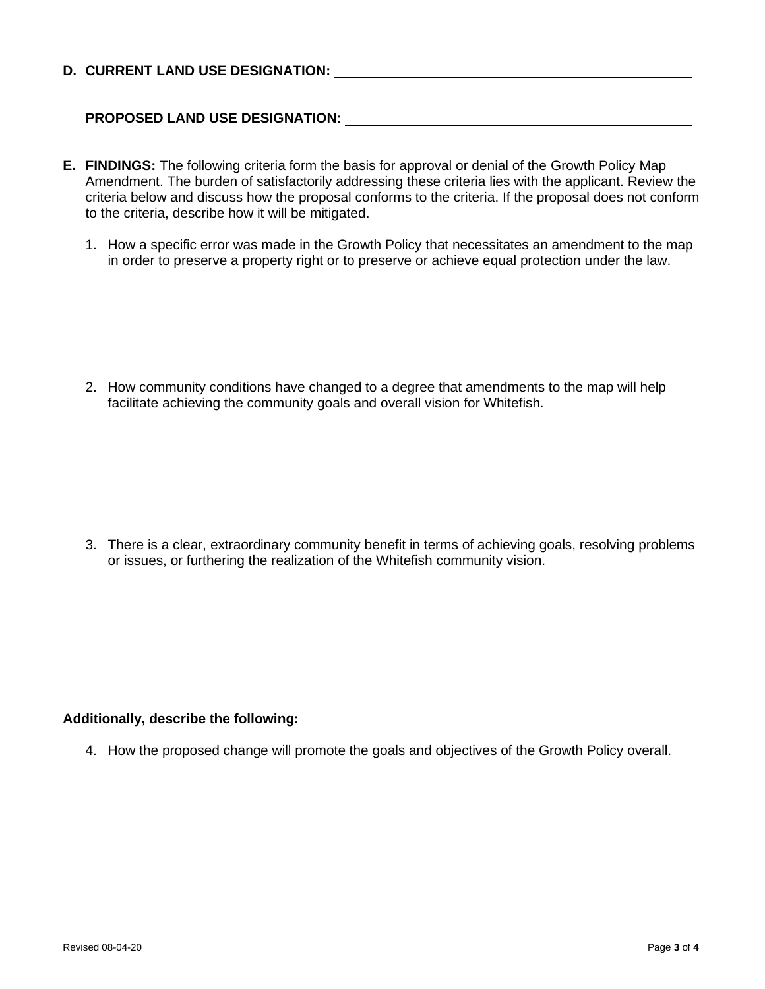## **D. CURRENT LAND USE DESIGNATION:**

## **PROPOSED LAND USE DESIGNATION:**

- **E. FINDINGS:** The following criteria form the basis for approval or denial of the Growth Policy Map Amendment. The burden of satisfactorily addressing these criteria lies with the applicant. Review the criteria below and discuss how the proposal conforms to the criteria. If the proposal does not conform to the criteria, describe how it will be mitigated.
	- 1. How a specific error was made in the Growth Policy that necessitates an amendment to the map in order to preserve a property right or to preserve or achieve equal protection under the law.

2. How community conditions have changed to a degree that amendments to the map will help facilitate achieving the community goals and overall vision for Whitefish.

3. There is a clear, extraordinary community benefit in terms of achieving goals, resolving problems or issues, or furthering the realization of the Whitefish community vision.

#### **Additionally, describe the following:**

4. How the proposed change will promote the goals and objectives of the Growth Policy overall.